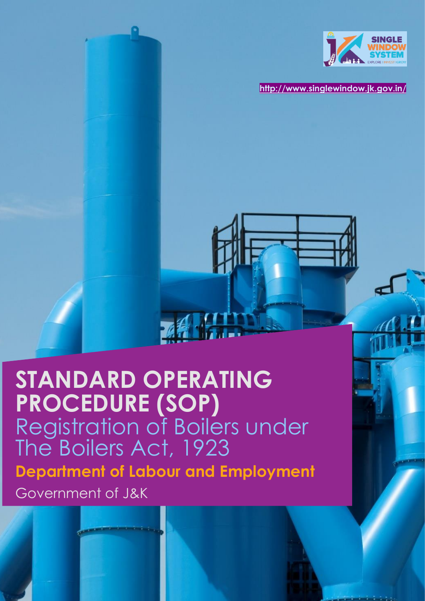

**<http://www.singlewindow.jk.gov.in/>**

# **STANDARD OPERATING PROCEDURE (SOP)** Registration of Boilers under The Boilers Act, 1923 **Department of Labour and Employment**  Government of J&K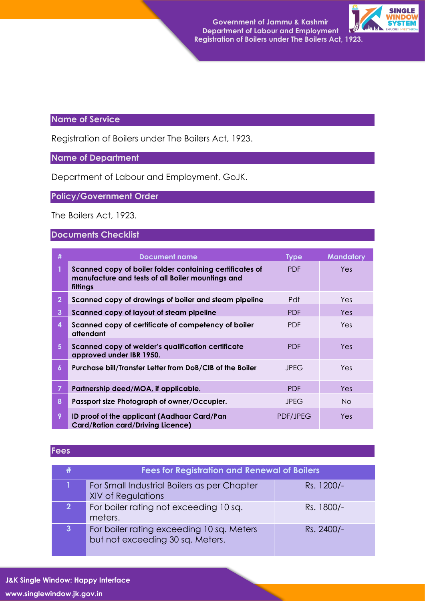**Government of Jammu & Kashmir Department of Labour and Employment Registration of Boilers under The Boilers Act, 1923.**



## **Name of Service**

Registration of Boilers under The Boilers Act, 1923.

## **Name of Department**

Department of Labour and Employment, GoJK.

## **Policy/Government Order**

The Boilers Act, 1923.

#### **Documents Checklist**

| #            | <b>Document name</b>                                                                                                      | <b>Type</b>     | <b>Mandatory</b> |
|--------------|---------------------------------------------------------------------------------------------------------------------------|-----------------|------------------|
|              | Scanned copy of boiler folder containing certificates of<br>manufacture and tests of all Boiler mountings and<br>fittings | <b>PDF</b>      | Yes              |
| $\mathbf{2}$ | Scanned copy of drawings of boiler and steam pipeline                                                                     | Pdf             | Yes.             |
| 3            | Scanned copy of layout of steam pipeline                                                                                  | <b>PDF</b>      | Yes.             |
| 4            | Scanned copy of certificate of competency of boiler<br>attendant                                                          | <b>PDF</b>      | Yes.             |
| 5            | Scanned copy of welder's qualification certificate<br>approved under IBR 1950.                                            | <b>PDF</b>      | <b>Yes</b>       |
| 6            | Purchase bill/Transfer Letter from DoB/CIB of the Boiler                                                                  | <b>JPEG</b>     | <b>Yes</b>       |
|              | Partnership deed/MOA, if applicable.                                                                                      | <b>PDF</b>      | Yes.             |
| 8            | Passport size Photograph of owner/Occupier.                                                                               | <b>JPEG</b>     | No.              |
| 9            | ID proof of the applicant (Aadhaar Card/Pan<br><b>Card/Ration card/Driving Licence)</b>                                   | <b>PDF/JPEG</b> | Yes              |

#### **Fees**

|                | <b>Fees for Registration and Renewal of Boilers</b>                           |            |  |  |
|----------------|-------------------------------------------------------------------------------|------------|--|--|
|                | For Small Industrial Boilers as per Chapter<br><b>XIV of Regulations</b>      | Rs. 1200/- |  |  |
| 2 <sup>1</sup> | For boiler rating not exceeding 10 sq.<br>meters.                             | Rs. 1800/- |  |  |
| $\mathbf{3}$   | For boiler rating exceeding 10 sq. Meters<br>but not exceeding 30 sq. Meters. | Rs. 2400/- |  |  |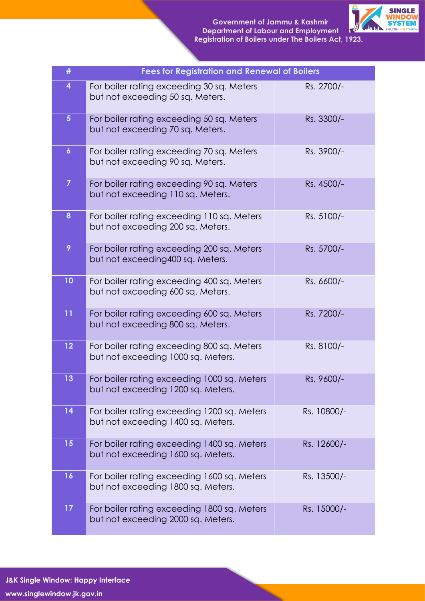

| #                 | <b>Fees for Registration and Renewal of Boilers</b>                               |             |
|-------------------|-----------------------------------------------------------------------------------|-------------|
| 4                 | For boiler rating exceeding 30 sq. Meters<br>but not exceeding 50 sq. Meters.     | Rs. 2700/-  |
| 5 <sup>5</sup>    | For boiler rating exceeding 50 sq. Meters<br>but not exceeding 70 sq. Meters.     | Rs. 3300/-  |
| $\boldsymbol{6}$  | For boiler rating exceeding 70 sq. Meters<br>but not exceeding 90 sq. Meters.     | Rs. 3900/-  |
| $\overline{7}$    | For boiler rating exceeding 90 sq. Meters<br>but not exceeding 110 sq. Meters.    | Rs. 4500/-  |
| 8                 | For boiler rating exceeding 110 sq. Meters<br>but not exceeding 200 sq. Meters.   | Rs. 5100/-  |
| 9                 | For boiler rating exceeding 200 sq. Meters<br>but not exceeding 400 sq. Meters.   | Rs. 5700/-  |
| 10                | For boiler rating exceeding 400 sq. Meters<br>but not exceeding 600 sq. Meters.   | Rs. 6600/-  |
| 11                | For boiler rating exceeding 600 sq. Meters<br>but not exceeding 800 sq. Meters.   | Rs. 7200/-  |
| $12 \overline{ }$ | For boiler rating exceeding 800 sq. Meters<br>but not exceeding 1000 sq. Meters.  | Rs. 8100/-  |
| 13                | For boiler rating exceeding 1000 sq. Meters<br>but not exceeding 1200 sq. Meters. | Rs. 9600/-  |
| 14                | For boiler rating exceeding 1200 sq. Meters<br>but not exceeding 1400 sq. Meters. | Rs. 10800/- |
| 15                | For boiler rating exceeding 1400 sq. Meters<br>but not exceeding 1600 sq. Meters. | Rs. 12600/- |
| 16                | For boiler rating exceeding 1600 sq. Meters<br>but not exceeding 1800 sq. Meters. | Rs. 13500/- |
| 17                | For boiler rating exceeding 1800 sq. Meters<br>but not exceeding 2000 sq. Meters. | Rs. 15000/- |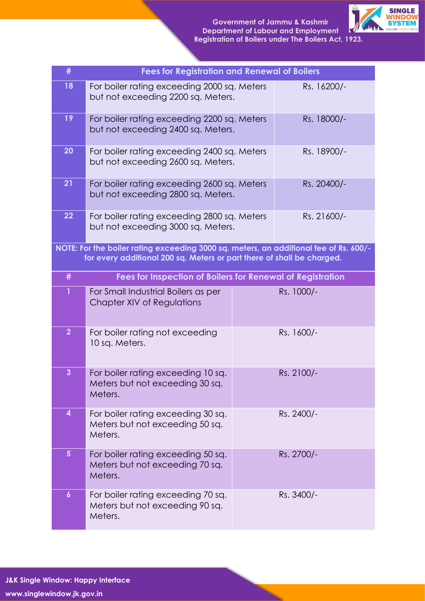

| #                | <b>Fees for Registration and Renewal of Boilers</b>                                                                                                             |             |            |  |
|------------------|-----------------------------------------------------------------------------------------------------------------------------------------------------------------|-------------|------------|--|
| 18               | For boiler rating exceeding 2000 sq. Meters<br>Rs. 16200/-<br>but not exceeding 2200 sq. Meters.                                                                |             |            |  |
| 19               | For boiler rating exceeding 2200 sq. Meters<br>Rs. 18000/-<br>but not exceeding 2400 sq. Meters.                                                                |             |            |  |
| 20               | For boiler rating exceeding 2400 sq. Meters<br>but not exceeding 2600 sq. Meters.                                                                               | Rs. 18900/- |            |  |
| 21               | For boiler rating exceeding 2600 sq. Meters<br>Rs. 20400/-<br>but not exceeding 2800 sq. Meters.                                                                |             |            |  |
| 22               | For boiler rating exceeding 2800 sq. Meters<br>Rs. 21600/-<br>but not exceeding 3000 sq. Meters.                                                                |             |            |  |
|                  | NOTE: For the boiler rating exceeding 3000 sq. meters, an additional fee of Rs. 600/-<br>for every additional 200 sq. Meters or part there of shall be charged. |             |            |  |
| #                | Fees for Inspection of Boilers for Renewal of Registration                                                                                                      |             |            |  |
| 1                | For Small Industrial Boilers as per<br>Chapter XIV of Regulations                                                                                               |             | Rs. 1000/- |  |
| $\overline{2}$   | For boiler rating not exceeding<br>10 sq. Meters.                                                                                                               |             | Rs. 1600/- |  |
| $\overline{3}$   | For boiler rating exceeding 10 sq.<br>Meters but not exceeding 30 sq.<br>Meters.                                                                                |             | Rs. 2100/- |  |
| 4                | For boiler rating exceeding 30 sq.<br>Meters but not exceeding 50 sq.<br>Meters.                                                                                |             | Rs. 2400/- |  |
| $5\phantom{.0}$  | For boiler rating exceeding 50 sq.<br>Meters but not exceeding 70 sq.<br>Meters.                                                                                |             | Rs. 2700/- |  |
| $\boldsymbol{6}$ | For boiler rating exceeding 70 sq.<br>Meters but not exceeding 90 sq.<br>Meters.                                                                                |             | Rs. 3400/- |  |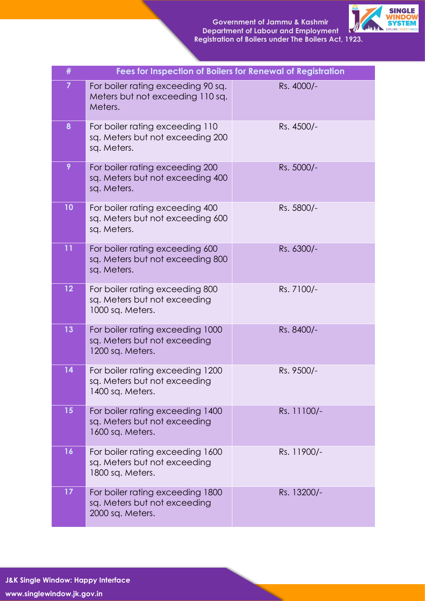

| #              | Fees for Inspection of Boilers for Renewal of Registration                           |             |
|----------------|--------------------------------------------------------------------------------------|-------------|
| $\overline{7}$ | For boiler rating exceeding 90 sq.<br>Meters but not exceeding 110 sq.<br>Meters.    | Rs. 4000/-  |
| 8              | For boiler rating exceeding 110<br>sq. Meters but not exceeding 200<br>sq. Meters.   | Rs. 4500/-  |
| 9              | For boiler rating exceeding 200<br>sq. Meters but not exceeding 400<br>sq. Meters.   | Rs. 5000/-  |
| 10             | For boiler rating exceeding 400<br>sq. Meters but not exceeding 600<br>sq. Meters.   | Rs. 5800/-  |
| 11             | For boiler rating exceeding 600<br>sq. Meters but not exceeding 800<br>sq. Meters.   | Rs. 6300/-  |
| 12             | For boiler rating exceeding 800<br>sq. Meters but not exceeding<br>1000 sq. Meters.  | Rs. 7100/-  |
| 13             | For boiler rating exceeding 1000<br>sq. Meters but not exceeding<br>1200 sq. Meters. | Rs. 8400/-  |
| 14             | For boiler rating exceeding 1200<br>sq. Meters but not exceeding<br>1400 sq. Meters. | Rs. 9500/-  |
| 15             | For boiler rating exceeding 1400<br>sq. Meters but not exceeding<br>1600 sq. Meters. | Rs. 11100/- |
| 16             | For boiler rating exceeding 1600<br>sq. Meters but not exceeding<br>1800 sq. Meters. | Rs. 11900/- |
| 17             | For boiler rating exceeding 1800<br>sq. Meters but not exceeding<br>2000 sq. Meters. | Rs. 13200/- |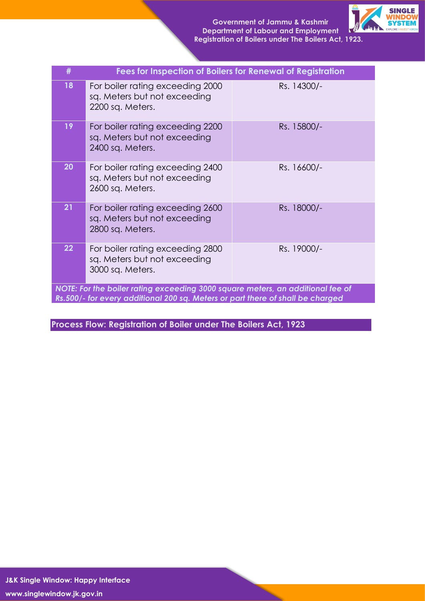

| #                                                                                                                                                                | Fees for Inspection of Boilers for Renewal of Registration                           |             |  |  |
|------------------------------------------------------------------------------------------------------------------------------------------------------------------|--------------------------------------------------------------------------------------|-------------|--|--|
| 18                                                                                                                                                               | For boiler rating exceeding 2000<br>sq. Meters but not exceeding<br>2200 sq. Meters. | Rs. 14300/- |  |  |
| 19                                                                                                                                                               | For boiler rating exceeding 2200<br>sq. Meters but not exceeding<br>2400 sq. Meters. | Rs. 15800/- |  |  |
| 20                                                                                                                                                               | For boiler rating exceeding 2400<br>sq. Meters but not exceeding<br>2600 sq. Meters. | Rs. 16600/- |  |  |
| 21                                                                                                                                                               | For boiler rating exceeding 2600<br>sq. Meters but not exceeding<br>2800 sq. Meters. | Rs. 18000/- |  |  |
| $22 \overline{)}$                                                                                                                                                | For boiler rating exceeding 2800<br>sq. Meters but not exceeding<br>3000 sq. Meters. | Rs. 19000/- |  |  |
| NOTE: For the boiler rating exceeding 3000 square meters, an additional fee of<br>Rs.500/- for every additional 200 sq. Meters or part there of shall be charged |                                                                                      |             |  |  |

**Process Flow: Registration of Boiler under The Boilers Act, 1923**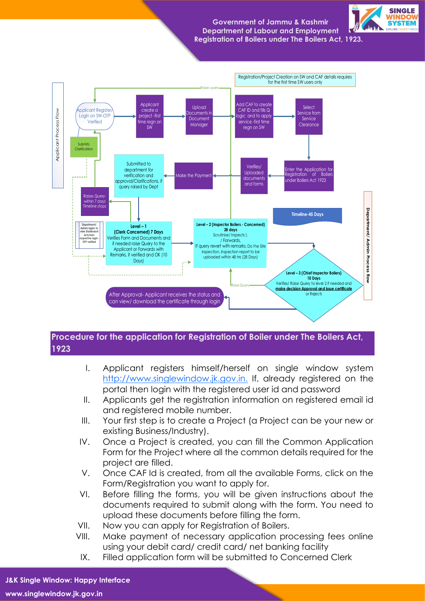**Government of Jammu & Kashmir Department of Labour and Employment Registration of Boilers under The Boilers Act, 1923.**





## **Procedure for the application for Registration of Boiler under The Boilers Act, 1923**

- I. Applicant registers himself/herself on single window system http://www.singlewindow.jk.gov.jn. If, already registered on the portal then login with the registered user id and password
- II. Applicants get the registration information on registered email id and registered mobile number.
- III. Your first step is to create a Project (a Project can be your new or existing Business/Industry).
- IV. Once a Project is created, you can fill the Common Application Form for the Project where all the common details required for the project are filled.
- V. Once CAF Id is created, from all the available Forms, click on the Form/Registration you want to apply for.
- VI. Before filling the forms, you will be given instructions about the documents required to submit along with the form. You need to upload these documents before filling the form.
- VII. Now you can apply for Registration of Boilers.
- VIII. Make payment of necessary application processing fees online using your debit card/ credit card/ net banking facility
- IX. Filled application form will be submitted to Concerned Clerk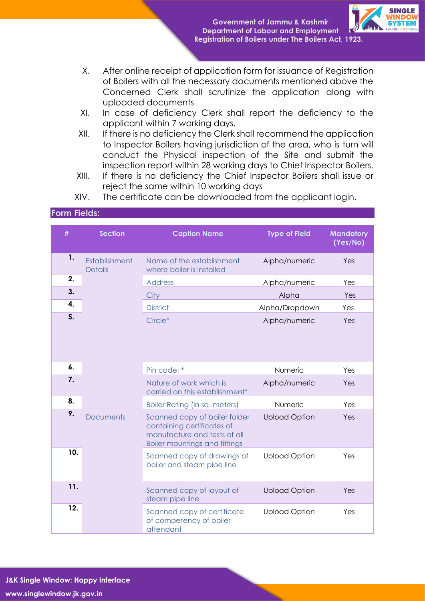

- X. After online receipt of application form for issuance of Registration of Boilers with all the necessary documents mentioned above the Concerned Clerk shall scrutinize the application along with uploaded documents
- XI. In case of deficiency Clerk shall report the deficiency to the applicant within 7 working days.
- XII. If there is no deficiency the Clerk shall recommend the application to Inspector Boilers having jurisdiction of the area, who is turn will conduct the Physical inspection of the Site and submit the inspection report within 28 working days to Chief Inspector Boilers.
- XIII. If there is no deficiency the Chief Inspector Boilers shall issue or reject the same within 10 working days
- XIV. The certificate can be downloaded from the applicant login.

#### **Form Fields:**

| #   | <b>Section</b>                  | <b>Caption Name</b>                                                                                                                 | <b>Type of Field</b> | <b>Mandatory</b><br>(Yes/No) |
|-----|---------------------------------|-------------------------------------------------------------------------------------------------------------------------------------|----------------------|------------------------------|
| 1.  | Establishment<br><b>Details</b> | Name of the establishment<br>where boiler is installed                                                                              | Alpha/numeric        | Yes                          |
| 2.  |                                 | <b>Address</b>                                                                                                                      | Alpha/numeric        | Yes                          |
| 3.  |                                 | City                                                                                                                                | Alpha                | Yes                          |
| 4.  |                                 | <b>District</b>                                                                                                                     | Alpha/Dropdown       | Yes                          |
| 5.  |                                 | Circle*                                                                                                                             | Alpha/numeric        | Yes                          |
| 6.  |                                 | Pin code: *                                                                                                                         | Numeric              | Yes                          |
| 7.  |                                 | Nature of work which is<br>carried on this establishment*                                                                           | Alpha/numeric        | Yes                          |
| 8.  |                                 | <b>Boiler Rating (in sq. meters)</b>                                                                                                | Numeric              | Yes                          |
| 9.  | <b>Documents</b>                | Scanned copy of boiler folder<br>containing certificates of<br>manufacture and tests of all<br><b>Boiler mountings and fittings</b> | <b>Upload Option</b> | Yes                          |
| 10. |                                 | Scanned copy of drawings of<br>boiler and steam pipe line                                                                           | <b>Upload Option</b> | Yes                          |
| 11. |                                 | Scanned copy of layout of<br>steam pipe line                                                                                        | <b>Upload Option</b> | Yes                          |
| 12. |                                 | Scanned copy of certificate<br>of competency of boiler<br>attendant                                                                 | <b>Upload Option</b> | Yes                          |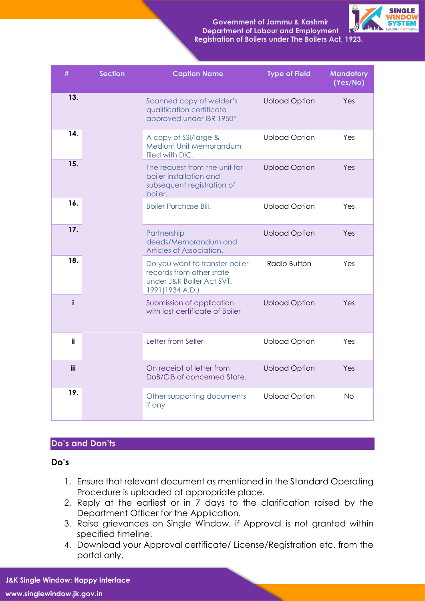**Government of Jammu & Kashmir Department of Labour and Employment Registration of Boilers under The Boilers Act, 1923.**



| #   | <b>Section</b> | <b>Caption Name</b>                                                                                         | <b>Type of Field</b> | <b>Mandatory</b><br>(Yes/No) |
|-----|----------------|-------------------------------------------------------------------------------------------------------------|----------------------|------------------------------|
| 13. |                | Scanned copy of welder's<br>qualification certificate<br>approved under IBR 1950*                           | <b>Upload Option</b> | Yes                          |
| 14. |                | A copy of SSI/large &<br>Medium Unit Memorandum<br>filed with DIC.                                          | <b>Upload Option</b> | Yes                          |
| 15. |                | The request from the unit for<br>boiler installation and<br>subsequent registration of<br>boiler.           | <b>Upload Option</b> | Yes                          |
| 16. |                | <b>Boiler Purchase Bill.</b>                                                                                | <b>Upload Option</b> | Yes                          |
| 17. |                | Partnership<br>deeds/Memorandum and<br>Articles of Association.                                             | <b>Upload Option</b> | Yes                          |
| 18. |                | Do you want to transfer boiler<br>records from other state<br>under J&K Boiler Act SVT.<br>1991 (1934 A.D.) | Radio Button         | Yes                          |
| i   |                | Submission of application<br>with last certificate of Boiler                                                | <b>Upload Option</b> | Yes                          |
| ii  |                | Letter from Seller                                                                                          | <b>Upload Option</b> | Yes                          |
| iii |                | On receipt of letter from<br>DoB/CIB of concerned State.                                                    | <b>Upload Option</b> | Yes                          |
| 19. |                | Other supporting documents<br>if any                                                                        | <b>Upload Option</b> | <b>No</b>                    |

#### **Do's and Don'ts**

**Do's** 

- 1. Ensure that relevant document as mentioned in the Standard Operating Procedure is uploaded at appropriate place.
- 2. Reply at the earliest or in 7 days to the clarification raised by the Department Officer for the Application.
- 3. Raise grievances on Single Window, if Approval is not granted within specified timeline.
- 4. Download your Approval certificate/ License/Registration etc. from the portal only.